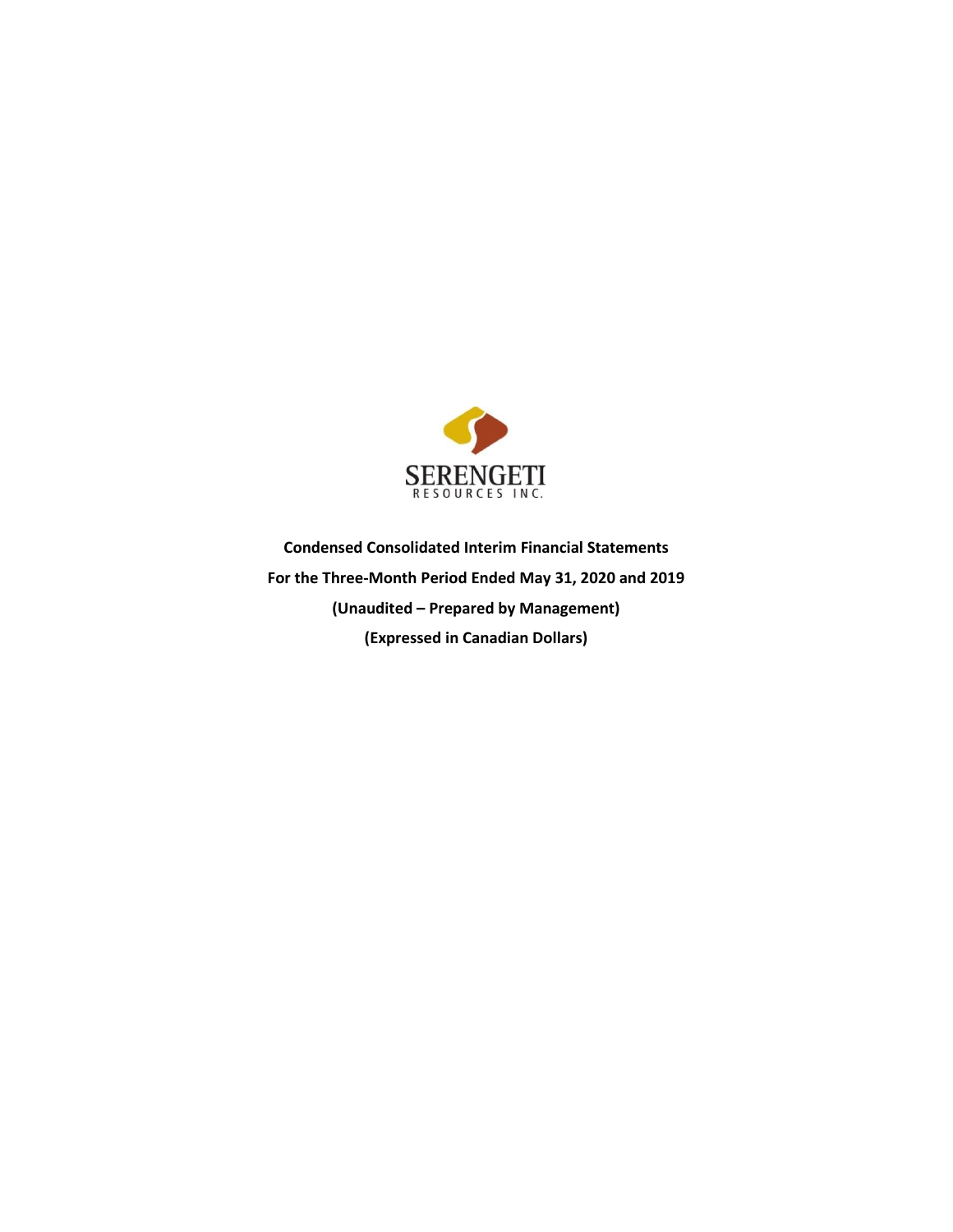

**Condensed Consolidated Interim Financial Statements For the Three-Month Period Ended May 31, 2020 and 2019 (Unaudited – Prepared by Management) (Expressed in Canadian Dollars)**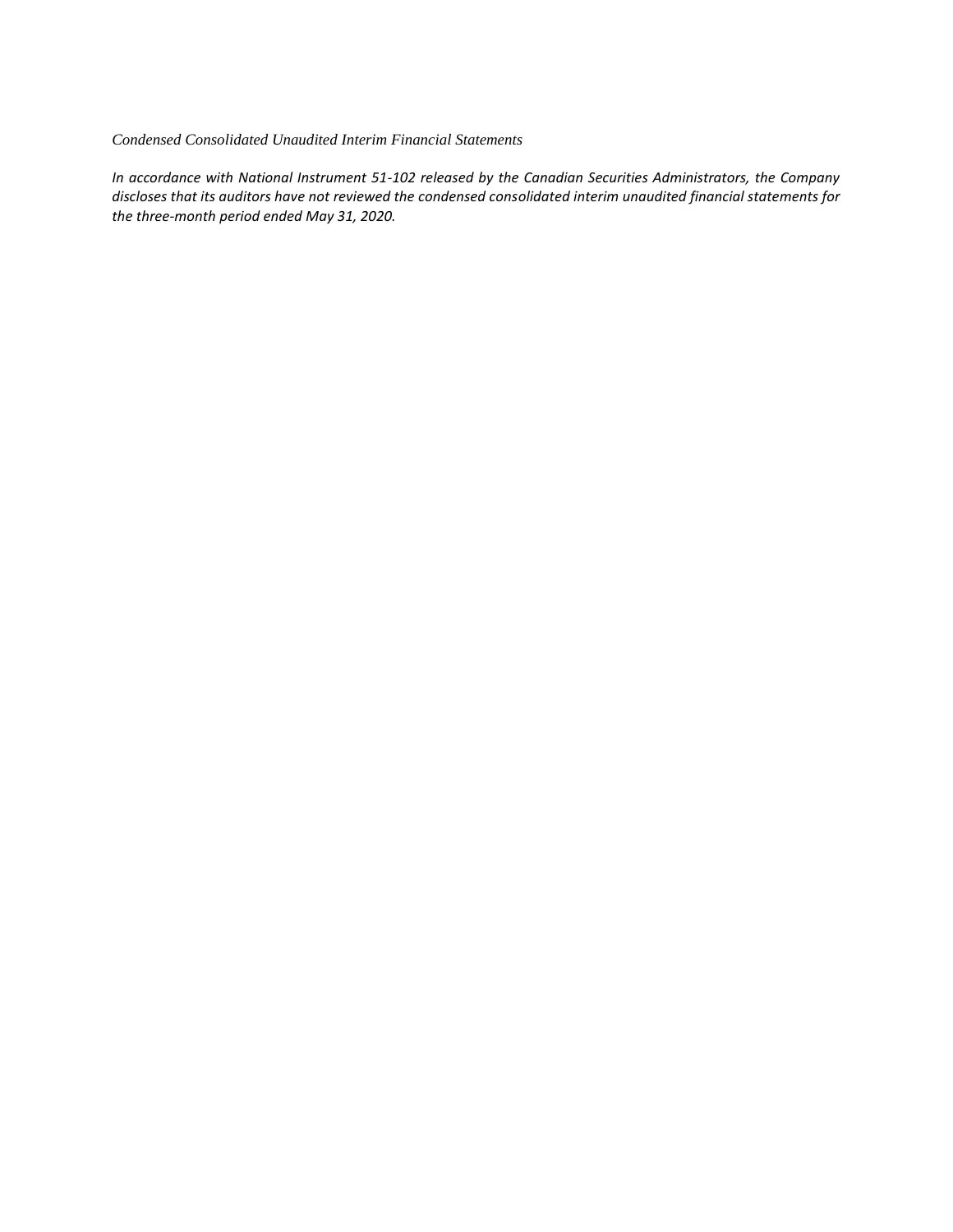#### *Condensed Consolidated Unaudited Interim Financial Statements*

*In accordance with National Instrument 51-102 released by the Canadian Securities Administrators, the Company discloses that its auditors have not reviewed the condensed consolidated interim unaudited financial statements for the three-month period ended May 31, 2020.*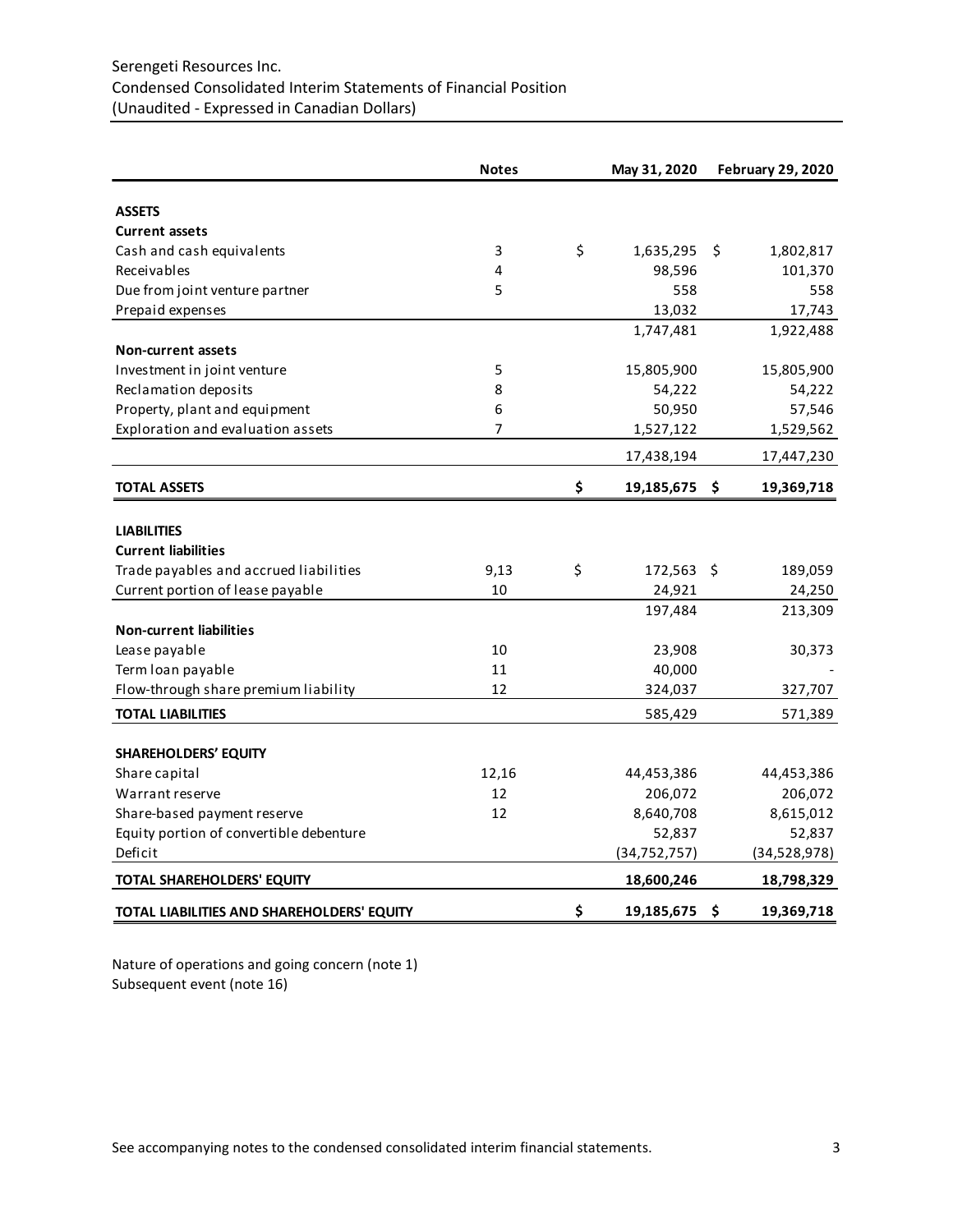# Serengeti Resources Inc. Condensed Consolidated Interim Statements of Financial Position (Unaudited - Expressed in Canadian Dollars)

|                                            | <b>Notes</b>   | May 31, 2020     | <b>February 29, 2020</b> |
|--------------------------------------------|----------------|------------------|--------------------------|
| <b>ASSETS</b>                              |                |                  |                          |
| <b>Current assets</b>                      |                |                  |                          |
| Cash and cash equivalents                  | 3              | \$<br>1,635,295  | 1,802,817<br>S.          |
| Receivables                                | 4              | 98,596           | 101,370                  |
| Due from joint venture partner             | 5              | 558              | 558                      |
| Prepaid expenses                           |                | 13,032           | 17,743                   |
|                                            |                | 1,747,481        | 1,922,488                |
| <b>Non-current assets</b>                  |                |                  |                          |
| Investment in joint venture                | 5              | 15,805,900       | 15,805,900               |
| Reclamation deposits                       | 8              | 54,222           | 54,222                   |
| Property, plant and equipment              | 6              | 50,950           | 57,546                   |
| Exploration and evaluation assets          | $\overline{7}$ | 1,527,122        | 1,529,562                |
|                                            |                | 17,438,194       | 17,447,230               |
| <b>TOTAL ASSETS</b>                        |                | \$<br>19,185,675 | \$.<br>19,369,718        |
|                                            |                |                  |                          |
| <b>LIABILITIES</b>                         |                |                  |                          |
| <b>Current liabilities</b>                 |                |                  |                          |
| Trade payables and accrued liabilities     | 9,13           | \$<br>172,563 \$ | 189,059                  |
| Current portion of lease payable           | 10             | 24,921           | 24,250                   |
|                                            |                | 197,484          | 213,309                  |
| <b>Non-current liabilities</b>             |                |                  |                          |
| Lease payable                              | 10             | 23,908           | 30,373                   |
| Term loan payable                          | 11             | 40,000           |                          |
| Flow-through share premium liability       | 12             | 324,037          | 327,707                  |
| <b>TOTAL LIABILITIES</b>                   |                | 585,429          | 571,389                  |
| <b>SHAREHOLDERS' EQUITY</b>                |                |                  |                          |
| Share capital                              | 12,16          | 44,453,386       | 44,453,386               |
| Warrant reserve                            | 12             | 206,072          | 206,072                  |
| Share-based payment reserve                | 12             | 8,640,708        | 8,615,012                |
| Equity portion of convertible debenture    |                | 52,837           | 52,837                   |
| Deficit                                    |                | (34, 752, 757)   | (34,528,978)             |
| TOTAL SHAREHOLDERS' EQUITY                 |                | 18,600,246       | 18,798,329               |
|                                            |                |                  |                          |
| TOTAL LIABILITIES AND SHAREHOLDERS' EQUITY |                | \$<br>19,185,675 | 19,369,718<br>\$.        |

Nature of operations and going concern (note 1) Subsequent event (note 16)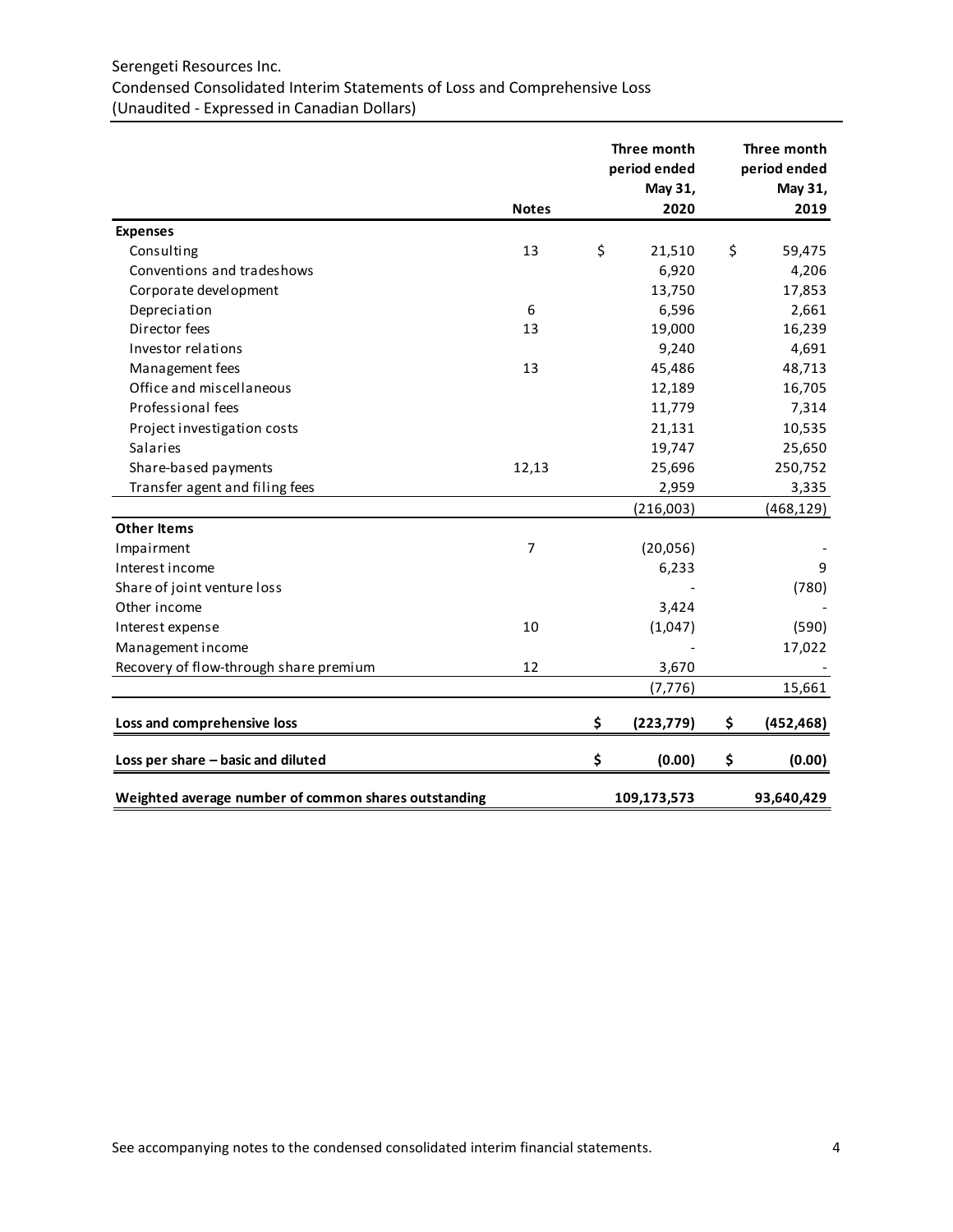# Serengeti Resources Inc. Condensed Consolidated Interim Statements of Loss and Comprehensive Loss (Unaudited - Expressed in Canadian Dollars)

|                                                      | <b>Notes</b> | Three month<br>period ended<br>May 31,<br>2020 | Three month<br>period ended<br>May 31,<br>2019 |
|------------------------------------------------------|--------------|------------------------------------------------|------------------------------------------------|
| <b>Expenses</b>                                      |              |                                                |                                                |
| Consulting                                           | 13           | \$<br>21,510                                   | \$<br>59,475                                   |
| Conventions and tradeshows                           |              | 6,920                                          | 4,206                                          |
| Corporate development                                |              | 13,750                                         | 17,853                                         |
| Depreciation                                         | 6            | 6,596                                          | 2,661                                          |
| Director fees                                        | 13           | 19,000                                         | 16,239                                         |
| Investor relations                                   |              | 9,240                                          | 4,691                                          |
| Management fees                                      | 13           | 45,486                                         | 48,713                                         |
| Office and miscellaneous                             |              | 12,189                                         | 16,705                                         |
| Professional fees                                    |              | 11,779                                         | 7,314                                          |
|                                                      |              | 21,131                                         |                                                |
| Project investigation costs<br>Salaries              |              | 19,747                                         | 10,535                                         |
|                                                      |              |                                                | 25,650                                         |
| Share-based payments                                 | 12,13        | 25,696                                         | 250,752                                        |
| Transfer agent and filing fees                       |              | 2,959                                          | 3,335                                          |
|                                                      |              | (216,003)                                      | (468, 129)                                     |
| <b>Other Items</b>                                   |              |                                                |                                                |
| Impairment                                           | 7            | (20,056)                                       |                                                |
| Interest income                                      |              | 6,233                                          | 9                                              |
| Share of joint venture loss                          |              |                                                | (780)                                          |
| Other income                                         |              | 3,424                                          |                                                |
| Interest expense                                     | 10           | (1,047)                                        | (590)                                          |
| Management income                                    |              |                                                | 17,022                                         |
| Recovery of flow-through share premium               | 12           | 3,670                                          |                                                |
|                                                      |              | (7, 776)                                       | 15,661                                         |
| Loss and comprehensive loss                          |              | \$<br>(223, 779)                               | \$<br>(452, 468)                               |
| Loss per share - basic and diluted                   |              | \$<br>(0.00)                                   | \$<br>(0.00)                                   |
| Weighted average number of common shares outstanding |              | 109,173,573                                    | 93,640,429                                     |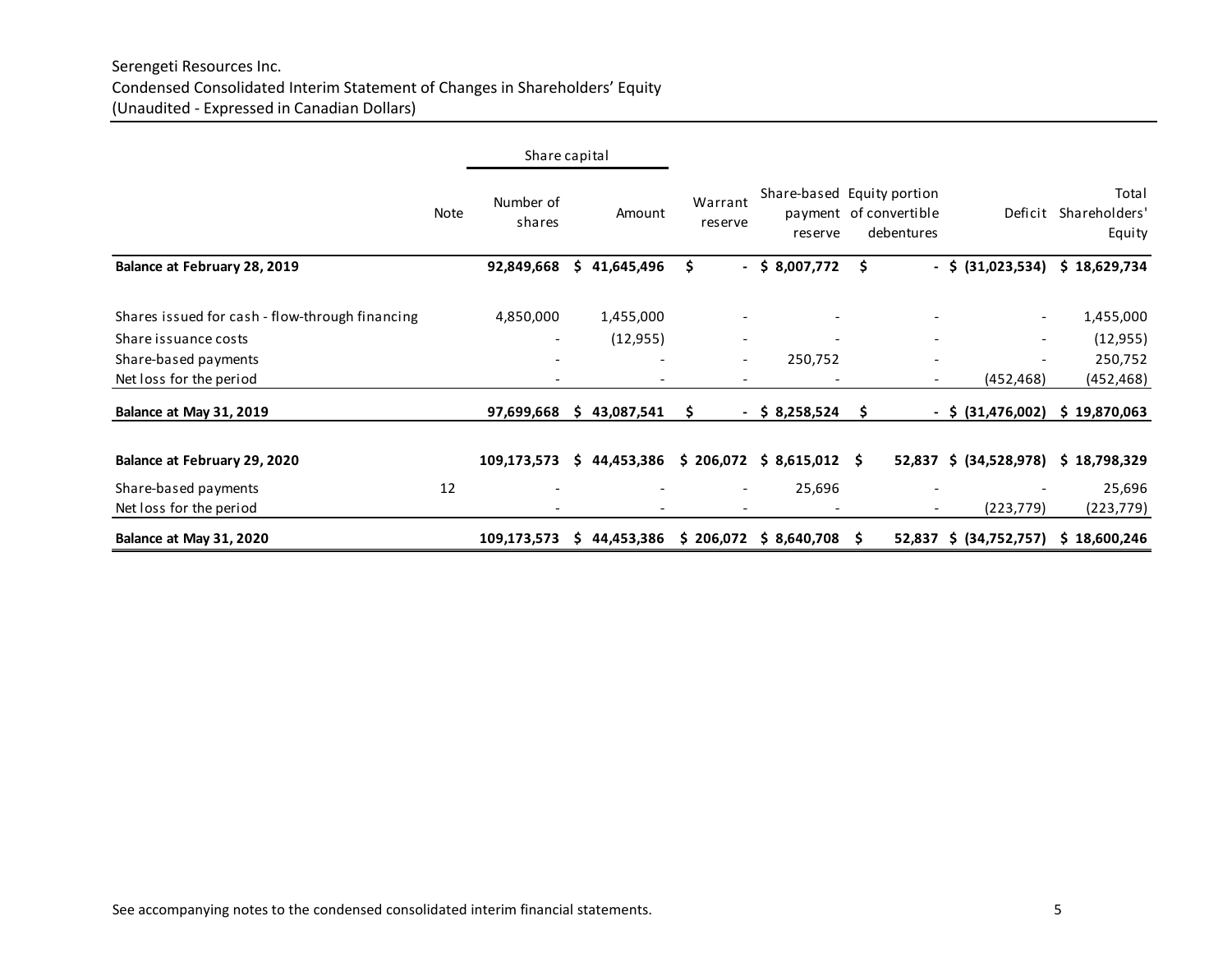|                                                 |      | Share capital       |    |                          |                                |                                       |     |                                      |                          |                                  |
|-------------------------------------------------|------|---------------------|----|--------------------------|--------------------------------|---------------------------------------|-----|--------------------------------------|--------------------------|----------------------------------|
|                                                 | Note | Number of<br>shares |    | Amount                   | Warrant<br>reserve             | Share-based Equity portion<br>reserve |     | payment of convertible<br>debentures | Deficit                  | Total<br>Shareholders'<br>Equity |
| Balance at February 28, 2019                    |      | 92,849,668          | S. | 41,645,496               | \$<br>$\overline{\phantom{0}}$ | \$8,007,772                           | S   |                                      | $-$ \$ (31,023,534)      | \$18,629,734                     |
| Shares issued for cash - flow-through financing |      | 4,850,000           |    | 1,455,000                |                                |                                       |     |                                      | $\overline{\phantom{0}}$ | 1,455,000                        |
| Share issuance costs                            |      | -                   |    | (12, 955)                | $\overline{\phantom{a}}$       |                                       |     | $\overline{\phantom{a}}$             |                          | (12, 955)                        |
| Share-based payments                            |      |                     |    |                          | $\overline{\phantom{a}}$       | 250,752                               |     | -                                    |                          | 250,752                          |
| Net loss for the period                         |      |                     |    |                          | $\qquad \qquad \blacksquare$   |                                       |     | $\overline{\phantom{a}}$             | (452, 468)               | (452, 468)                       |
| Balance at May 31, 2019                         |      | 97,699,668          | S. | 43,087,541               | s<br>$\blacksquare$            | \$ 8,258,524                          | S   |                                      | $-$ \$ (31,476,002)      | \$19,870,063                     |
| Balance at February 29, 2020                    |      | 109,173,573         | Ŝ. | 44,453,386               | \$206,072                      | $$8,615,012$ \$                       |     |                                      | 52,837 \$ (34,528,978)   | \$18,798,329                     |
| Share-based payments                            | 12   |                     |    |                          | $\qquad \qquad \blacksquare$   | 25,696                                |     |                                      |                          | 25,696                           |
| Net loss for the period                         |      |                     |    | $\overline{\phantom{0}}$ | $\overline{\phantom{a}}$       | $\overline{\phantom{a}}$              |     | $\overline{\phantom{0}}$             | (223, 779)               | (223, 779)                       |
| Balance at May 31, 2020                         |      | 109,173,573         | s  | 44,453,386               | \$206,072                      | \$8,640,708                           | - S |                                      | 52,837 \$ (34,752,757)   | \$18,600,246                     |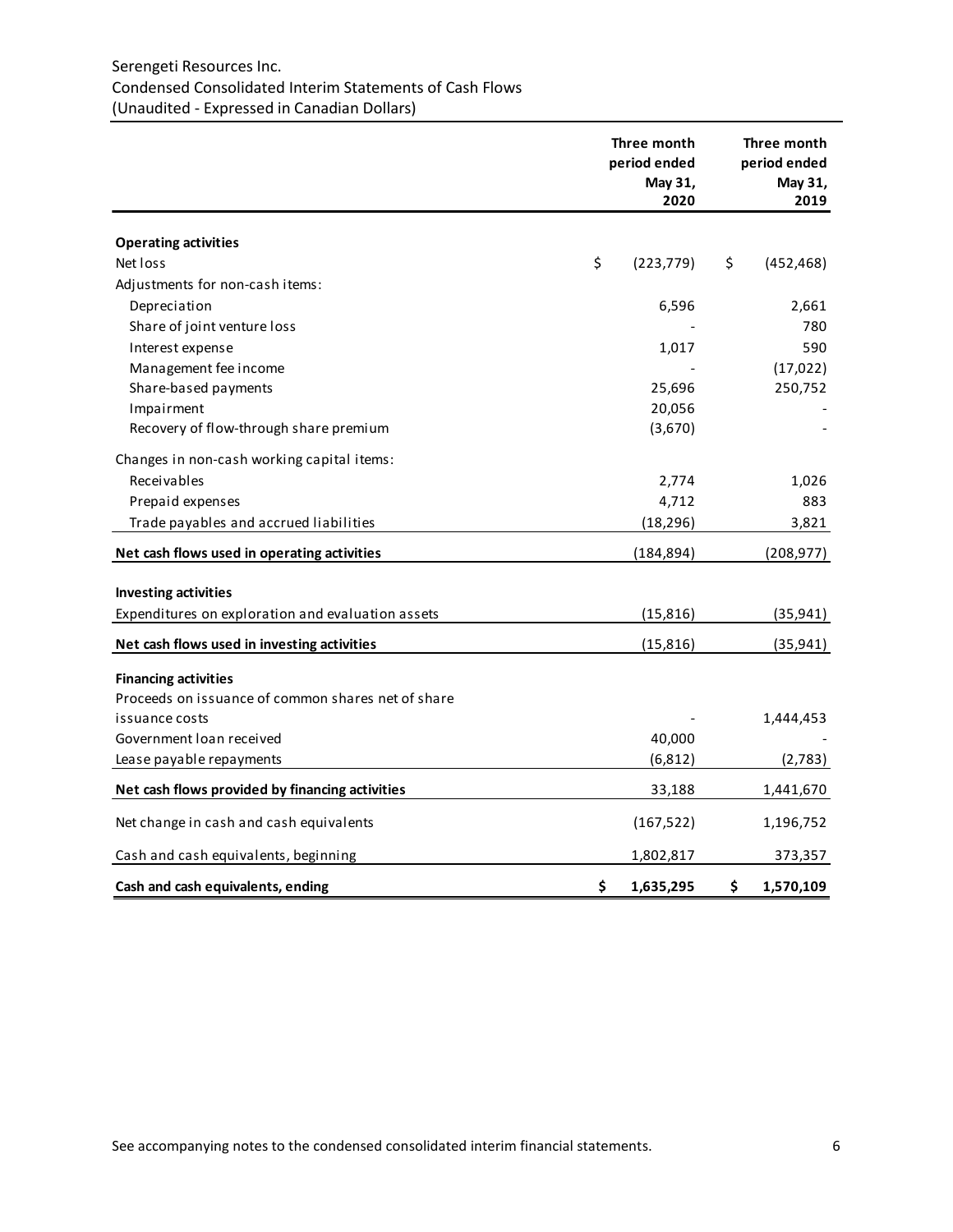# Serengeti Resources Inc. Condensed Consolidated Interim Statements of Cash Flows (Unaudited - Expressed in Canadian Dollars)

|                                                    | Three month<br>period ended<br>May 31,<br>2020 |            |    | Three month<br>period ended<br>May 31,<br>2019 |  |  |
|----------------------------------------------------|------------------------------------------------|------------|----|------------------------------------------------|--|--|
| <b>Operating activities</b>                        |                                                |            |    |                                                |  |  |
| Net loss                                           | \$                                             | (223, 779) | \$ | (452, 468)                                     |  |  |
| Adjustments for non-cash items:                    |                                                |            |    |                                                |  |  |
| Depreciation                                       |                                                | 6,596      |    | 2,661                                          |  |  |
| Share of joint venture loss                        |                                                |            |    | 780                                            |  |  |
| Interest expense                                   |                                                | 1,017      |    | 590                                            |  |  |
| Management fee income                              |                                                |            |    | (17, 022)                                      |  |  |
| Share-based payments                               |                                                | 25,696     |    | 250,752                                        |  |  |
| Impairment                                         |                                                | 20,056     |    |                                                |  |  |
| Recovery of flow-through share premium             |                                                | (3,670)    |    |                                                |  |  |
| Changes in non-cash working capital items:         |                                                |            |    |                                                |  |  |
| Receivables                                        |                                                | 2,774      |    | 1,026                                          |  |  |
| Prepaid expenses                                   |                                                | 4,712      |    | 883                                            |  |  |
| Trade payables and accrued liabilities             |                                                | (18, 296)  |    | 3,821                                          |  |  |
| Net cash flows used in operating activities        |                                                | (184, 894) |    | (208, 977)                                     |  |  |
| <b>Investing activities</b>                        |                                                |            |    |                                                |  |  |
| Expenditures on exploration and evaluation assets  |                                                | (15, 816)  |    | (35, 941)                                      |  |  |
| Net cash flows used in investing activities        |                                                | (15, 816)  |    | (35, 941)                                      |  |  |
| <b>Financing activities</b>                        |                                                |            |    |                                                |  |  |
| Proceeds on issuance of common shares net of share |                                                |            |    |                                                |  |  |
| issuance costs                                     |                                                |            |    | 1,444,453                                      |  |  |
| Government loan received                           |                                                | 40,000     |    |                                                |  |  |
| Lease payable repayments                           |                                                | (6, 812)   |    | (2,783)                                        |  |  |
| Net cash flows provided by financing activities    |                                                | 33,188     |    | 1,441,670                                      |  |  |
| Net change in cash and cash equivalents            |                                                | (167, 522) |    | 1,196,752                                      |  |  |
| Cash and cash equivalents, beginning               |                                                | 1,802,817  |    | 373,357                                        |  |  |
| Cash and cash equivalents, ending                  | \$                                             | 1,635,295  | \$ | 1,570,109                                      |  |  |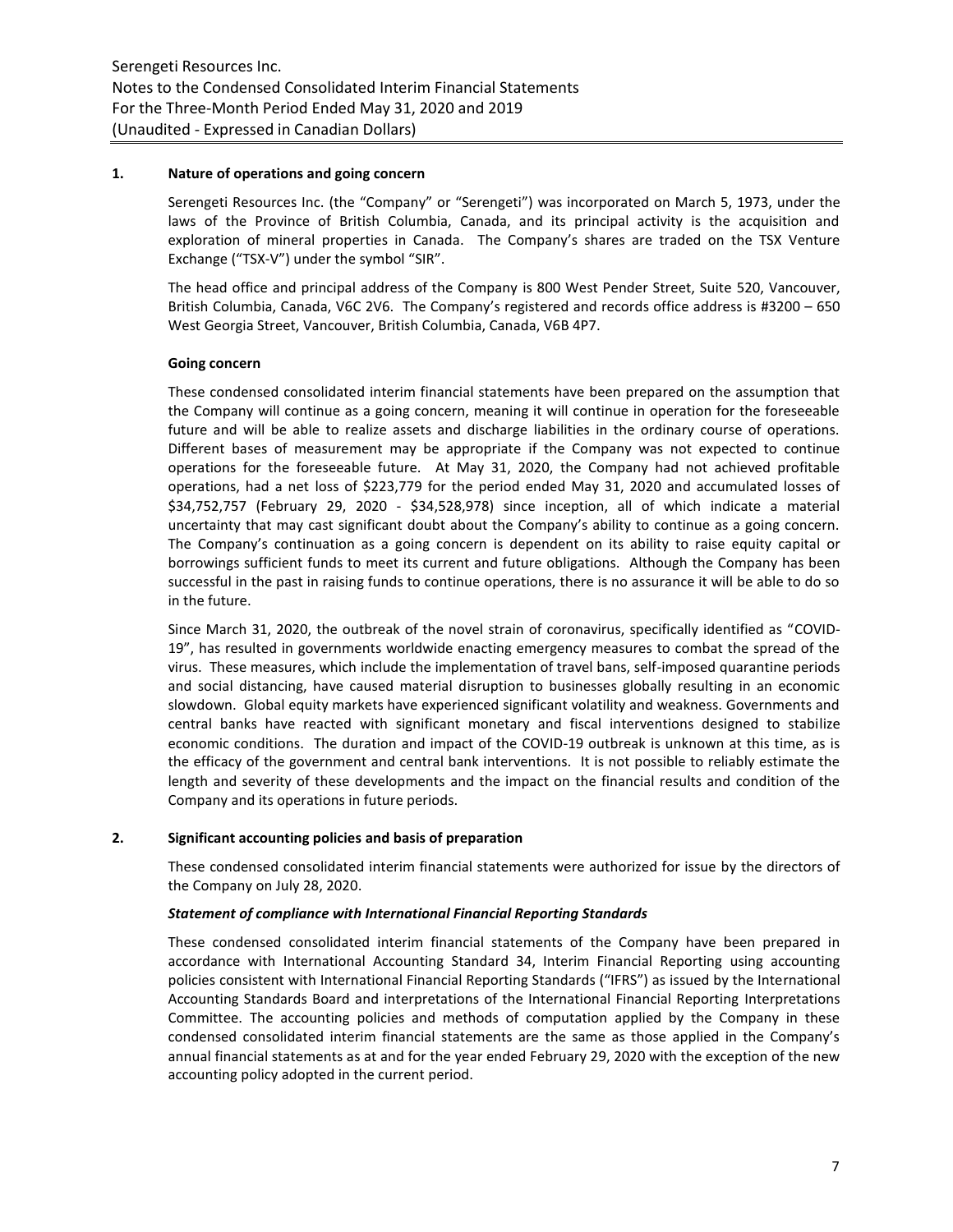### **1. Nature of operations and going concern**

Serengeti Resources Inc. (the "Company" or "Serengeti") was incorporated on March 5, 1973, under the laws of the Province of British Columbia, Canada, and its principal activity is the acquisition and exploration of mineral properties in Canada. The Company's shares are traded on the TSX Venture Exchange ("TSX-V") under the symbol "SIR".

The head office and principal address of the Company is 800 West Pender Street, Suite 520, Vancouver, British Columbia, Canada, V6C 2V6. The Company's registered and records office address is #3200 – 650 West Georgia Street, Vancouver, British Columbia, Canada, V6B 4P7.

### **Going concern**

These condensed consolidated interim financial statements have been prepared on the assumption that the Company will continue as a going concern, meaning it will continue in operation for the foreseeable future and will be able to realize assets and discharge liabilities in the ordinary course of operations. Different bases of measurement may be appropriate if the Company was not expected to continue operations for the foreseeable future. At May 31, 2020, the Company had not achieved profitable operations, had a net loss of \$223,779 for the period ended May 31, 2020 and accumulated losses of \$34,752,757 (February 29, 2020 - \$34,528,978) since inception, all of which indicate a material uncertainty that may cast significant doubt about the Company's ability to continue as a going concern. The Company's continuation as a going concern is dependent on its ability to raise equity capital or borrowings sufficient funds to meet its current and future obligations. Although the Company has been successful in the past in raising funds to continue operations, there is no assurance it will be able to do so in the future.

Since March 31, 2020, the outbreak of the novel strain of coronavirus, specifically identified as "COVID-19", has resulted in governments worldwide enacting emergency measures to combat the spread of the virus. These measures, which include the implementation of travel bans, self-imposed quarantine periods and social distancing, have caused material disruption to businesses globally resulting in an economic slowdown. Global equity markets have experienced significant volatility and weakness. Governments and central banks have reacted with significant monetary and fiscal interventions designed to stabilize economic conditions. The duration and impact of the COVID-19 outbreak is unknown at this time, as is the efficacy of the government and central bank interventions. It is not possible to reliably estimate the length and severity of these developments and the impact on the financial results and condition of the Company and its operations in future periods.

# **2. Significant accounting policies and basis of preparation**

These condensed consolidated interim financial statements were authorized for issue by the directors of the Company on July 28, 2020.

#### *Statement of compliance with International Financial Reporting Standards*

These condensed consolidated interim financial statements of the Company have been prepared in accordance with International Accounting Standard 34, Interim Financial Reporting using accounting policies consistent with International Financial Reporting Standards ("IFRS") as issued by the International Accounting Standards Board and interpretations of the International Financial Reporting Interpretations Committee. The accounting policies and methods of computation applied by the Company in these condensed consolidated interim financial statements are the same as those applied in the Company's annual financial statements as at and for the year ended February 29, 2020 with the exception of the new accounting policy adopted in the current period.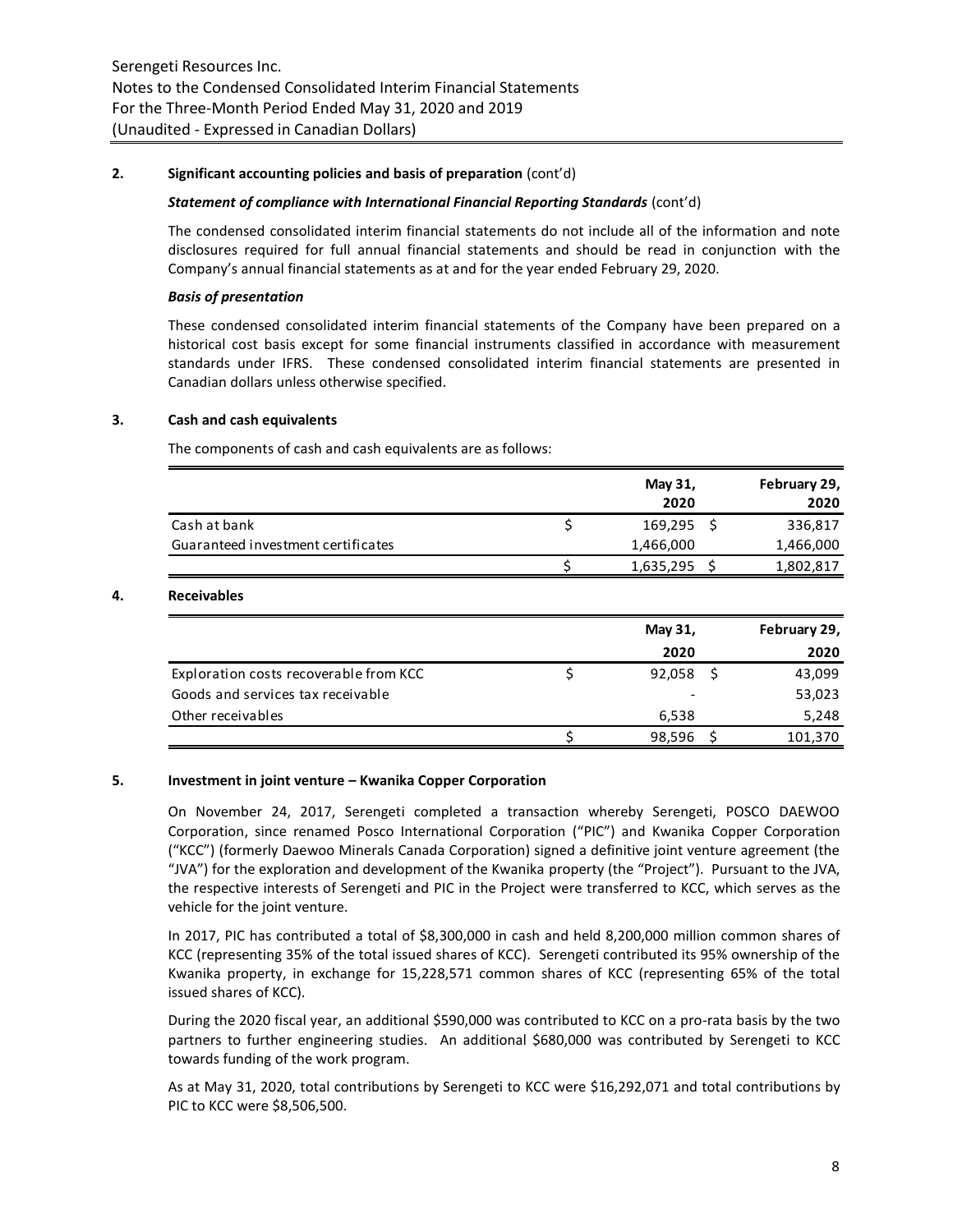### **2. Significant accounting policies and basis of preparation** (cont'd)

#### *Statement of compliance with International Financial Reporting Standards* (cont'd)

The condensed consolidated interim financial statements do not include all of the information and note disclosures required for full annual financial statements and should be read in conjunction with the Company's annual financial statements as at and for the year ended February 29, 2020.

#### *Basis of presentation*

These condensed consolidated interim financial statements of the Company have been prepared on a historical cost basis except for some financial instruments classified in accordance with measurement standards under IFRS. These condensed consolidated interim financial statements are presented in Canadian dollars unless otherwise specified.

# **3. Cash and cash equivalents**

The components of cash and cash equivalents are as follows:

|                                    | May 31,<br>2020 | February 29,<br>2020 |
|------------------------------------|-----------------|----------------------|
| Cash at bank                       | 169,295 \$      | 336,817              |
| Guaranteed investment certificates | 1,466,000       | 1,466,000            |
|                                    | 1,635,295       | 1,802,817            |

### **4. Receivables**

|                                        | May 31, | February 29, |
|----------------------------------------|---------|--------------|
|                                        | 2020    | 2020         |
| Exploration costs recoverable from KCC | 92,058  | 43,099       |
| Goods and services tax receivable      |         | 53,023       |
| Other receivables                      | 6,538   | 5,248        |
|                                        | 98,596  | 101,370      |

#### **5. Investment in joint venture – Kwanika Copper Corporation**

On November 24, 2017, Serengeti completed a transaction whereby Serengeti, POSCO DAEWOO Corporation, since renamed Posco International Corporation ("PIC") and Kwanika Copper Corporation ("KCC") (formerly Daewoo Minerals Canada Corporation) signed a definitive joint venture agreement (the "JVA") for the exploration and development of the Kwanika property (the "Project"). Pursuant to the JVA, the respective interests of Serengeti and PIC in the Project were transferred to KCC, which serves as the vehicle for the joint venture.

In 2017, PIC has contributed a total of \$8,300,000 in cash and held 8,200,000 million common shares of KCC (representing 35% of the total issued shares of KCC). Serengeti contributed its 95% ownership of the Kwanika property, in exchange for 15,228,571 common shares of KCC (representing 65% of the total issued shares of KCC).

During the 2020 fiscal year, an additional \$590,000 was contributed to KCC on a pro-rata basis by the two partners to further engineering studies. An additional \$680,000 was contributed by Serengeti to KCC towards funding of the work program.

As at May 31, 2020, total contributions by Serengeti to KCC were \$16,292,071 and total contributions by PIC to KCC were \$8,506,500.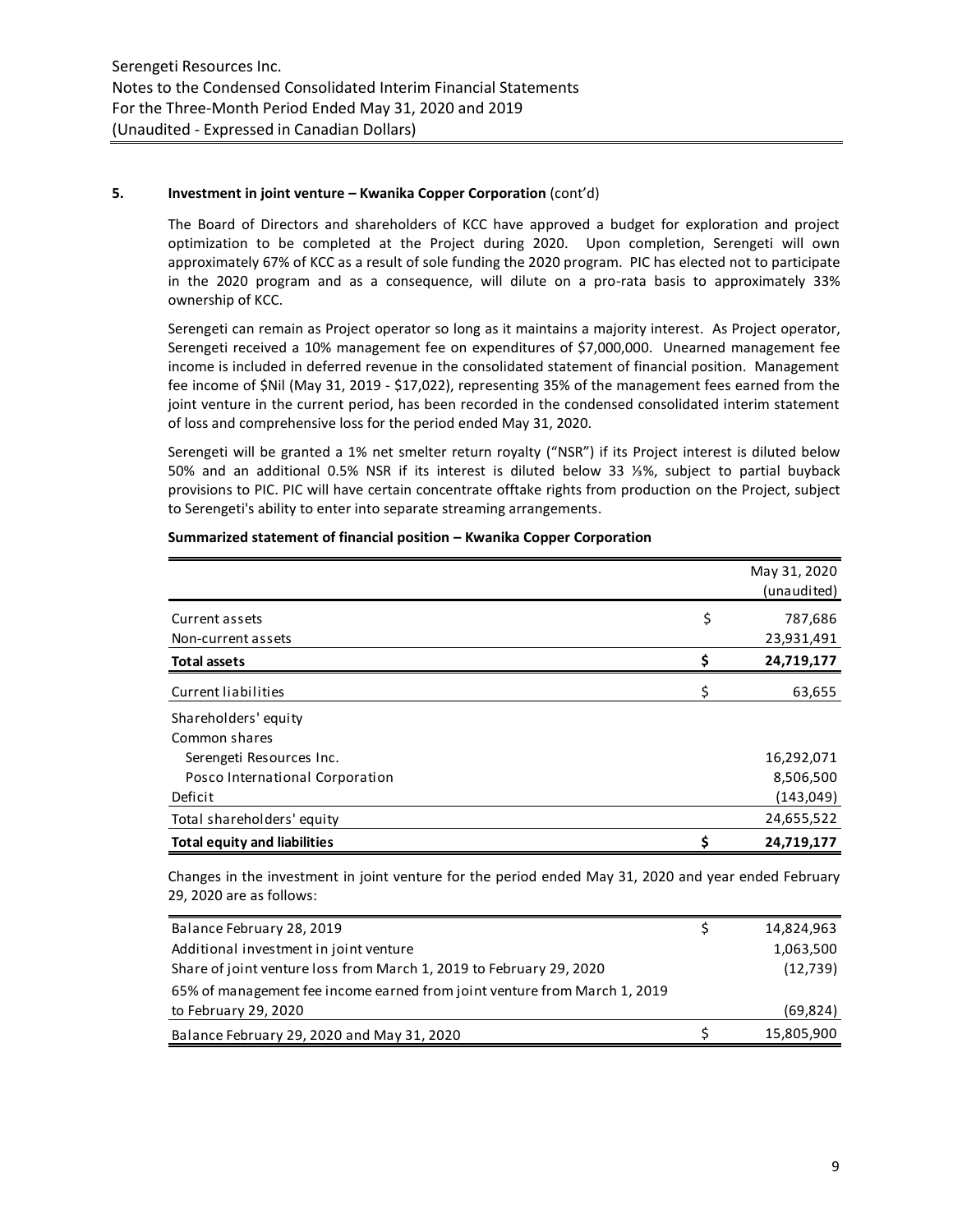# **5. Investment in joint venture – Kwanika Copper Corporation** (cont'd)

The Board of Directors and shareholders of KCC have approved a budget for exploration and project optimization to be completed at the Project during 2020. Upon completion, Serengeti will own approximately 67% of KCC as a result of sole funding the 2020 program. PIC has elected not to participate in the 2020 program and as a consequence, will dilute on a pro-rata basis to approximately 33% ownership of KCC.

Serengeti can remain as Project operator so long as it maintains a majority interest. As Project operator, Serengeti received a 10% management fee on expenditures of \$7,000,000. Unearned management fee income is included in deferred revenue in the consolidated statement of financial position. Management fee income of \$Nil (May 31, 2019 - \$17,022), representing 35% of the management fees earned from the joint venture in the current period, has been recorded in the condensed consolidated interim statement of loss and comprehensive loss for the period ended May 31, 2020.

Serengeti will be granted a 1% net smelter return royalty ("NSR") if its Project interest is diluted below 50% and an additional 0.5% NSR if its interest is diluted below 33 ⅓%, subject to partial buyback provisions to PIC. PIC will have certain concentrate offtake rights from production on the Project, subject to Serengeti's ability to enter into separate streaming arrangements.

|                                     |    | May 31, 2020<br>(unaudited) |
|-------------------------------------|----|-----------------------------|
| Current assets                      | \$ | 787,686                     |
| Non-current assets                  |    | 23,931,491                  |
| <b>Total assets</b>                 | \$ | 24,719,177                  |
| Current liabilities                 | Ś  | 63,655                      |
| Shareholders' equity                |    |                             |
| Common shares                       |    |                             |
| Serengeti Resources Inc.            |    | 16,292,071                  |
| Posco International Corporation     |    | 8,506,500                   |
| Deficit                             |    | (143, 049)                  |
| Total shareholders' equity          |    | 24,655,522                  |
| <b>Total equity and liabilities</b> | \$ | 24,719,177                  |

#### **Summarized statement of financial position – Kwanika Copper Corporation**

Changes in the investment in joint venture for the period ended May 31, 2020 and year ended February 29, 2020 are as follows:

| Balance February 28, 2019                                                 | 14,824,963 |
|---------------------------------------------------------------------------|------------|
| Additional investment in joint venture                                    | 1,063,500  |
| Share of joint venture loss from March 1, 2019 to February 29, 2020       | (12, 739)  |
| 65% of management fee income earned from joint venture from March 1, 2019 |            |
| to February 29, 2020                                                      | (69, 824)  |
| Balance February 29, 2020 and May 31, 2020                                | 15,805,900 |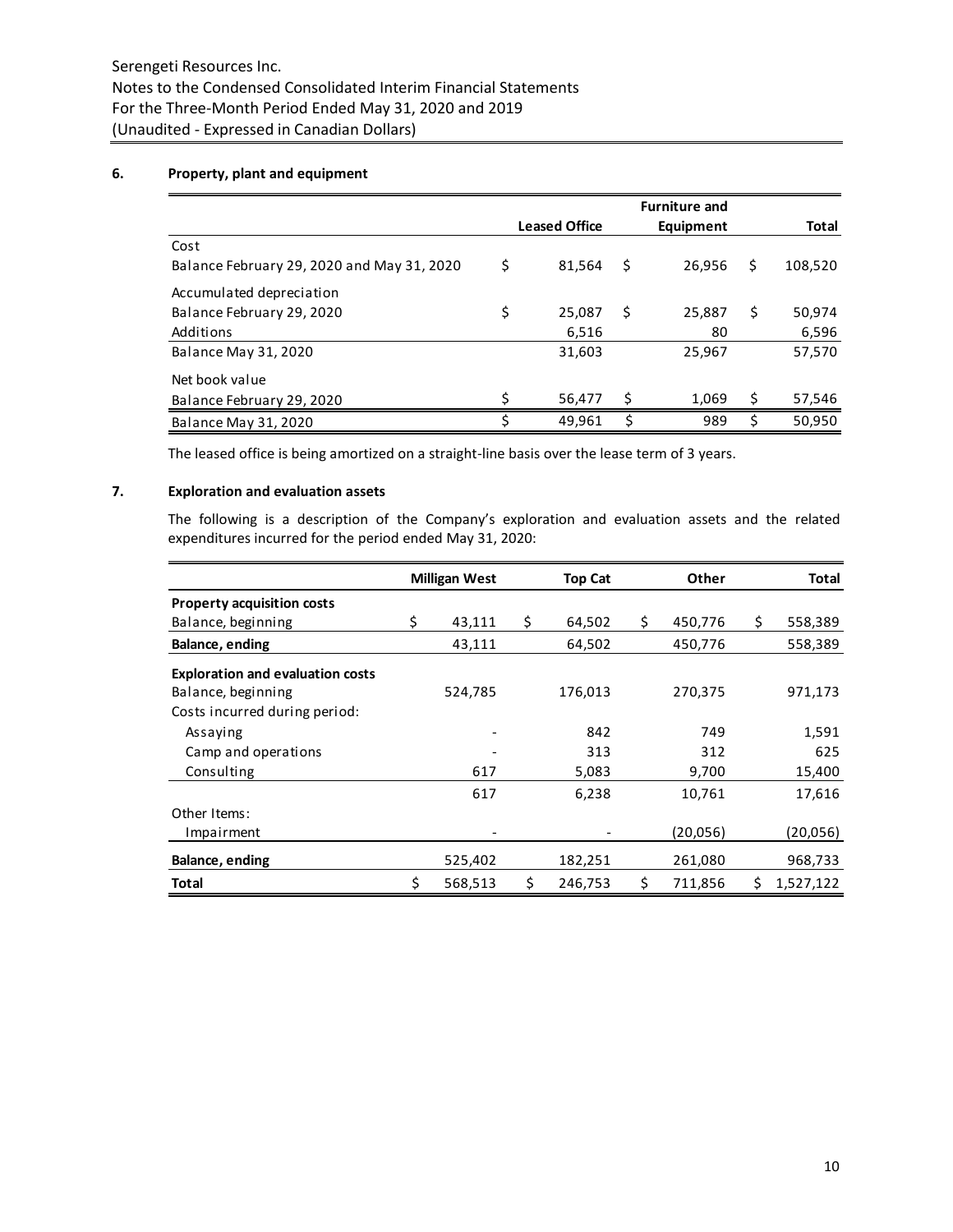# **6. Property, plant and equipment**

|                                            |    |                      |     | <b>Furniture and</b> |    |              |
|--------------------------------------------|----|----------------------|-----|----------------------|----|--------------|
|                                            |    | <b>Leased Office</b> |     | Equipment            |    | <b>Total</b> |
| Cost                                       |    |                      |     |                      |    |              |
| Balance February 29, 2020 and May 31, 2020 | \$ | 81,564               | \$  | 26,956               | S  | 108,520      |
| Accumulated depreciation                   |    |                      |     |                      |    |              |
| Balance February 29, 2020                  | \$ | 25,087               | \$. | 25,887               | \$ | 50,974       |
| Additions                                  |    | 6,516                |     | 80                   |    | 6,596        |
| <b>Balance May 31, 2020</b>                |    | 31,603               |     | 25,967               |    | 57,570       |
| Net book value                             |    |                      |     |                      |    |              |
| Balance February 29, 2020                  | ς  | 56,477               | Ś   | 1,069                | \$ | 57,546       |
| <b>Balance May 31, 2020</b>                | \$ | 49.961               | \$  | 989                  | \$ | 50,950       |

The leased office is being amortized on a straight-line basis over the lease term of 3 years.

# **7. Exploration and evaluation assets**

The following is a description of the Company's exploration and evaluation assets and the related expenditures incurred for the period ended May 31, 2020:

|                                         | <b>Milligan West</b> | <b>Top Cat</b> |         | Other         |    | Total     |
|-----------------------------------------|----------------------|----------------|---------|---------------|----|-----------|
| <b>Property acquisition costs</b>       |                      |                |         |               |    |           |
| Balance, beginning                      | \$<br>43,111         | \$             | 64,502  | \$<br>450,776 | \$ | 558,389   |
| Balance, ending                         | 43,111               |                | 64,502  | 450,776       |    | 558,389   |
| <b>Exploration and evaluation costs</b> |                      |                |         |               |    |           |
| Balance, beginning                      | 524,785              |                | 176,013 | 270,375       |    | 971,173   |
| Costs incurred during period:           |                      |                |         |               |    |           |
| Assaying                                |                      |                | 842     | 749           |    | 1,591     |
| Camp and operations                     |                      |                | 313     | 312           |    | 625       |
| Consulting                              | 617                  |                | 5,083   | 9,700         |    | 15,400    |
|                                         | 617                  |                | 6,238   | 10,761        |    | 17,616    |
| Other Items:                            |                      |                |         |               |    |           |
| Impairment                              |                      |                |         | (20,056)      |    | (20,056)  |
| Balance, ending                         | 525,402              |                | 182,251 | 261,080       |    | 968,733   |
| Total                                   | \$<br>568,513        | \$             | 246,753 | \$<br>711,856 | Ś. | 1.527.122 |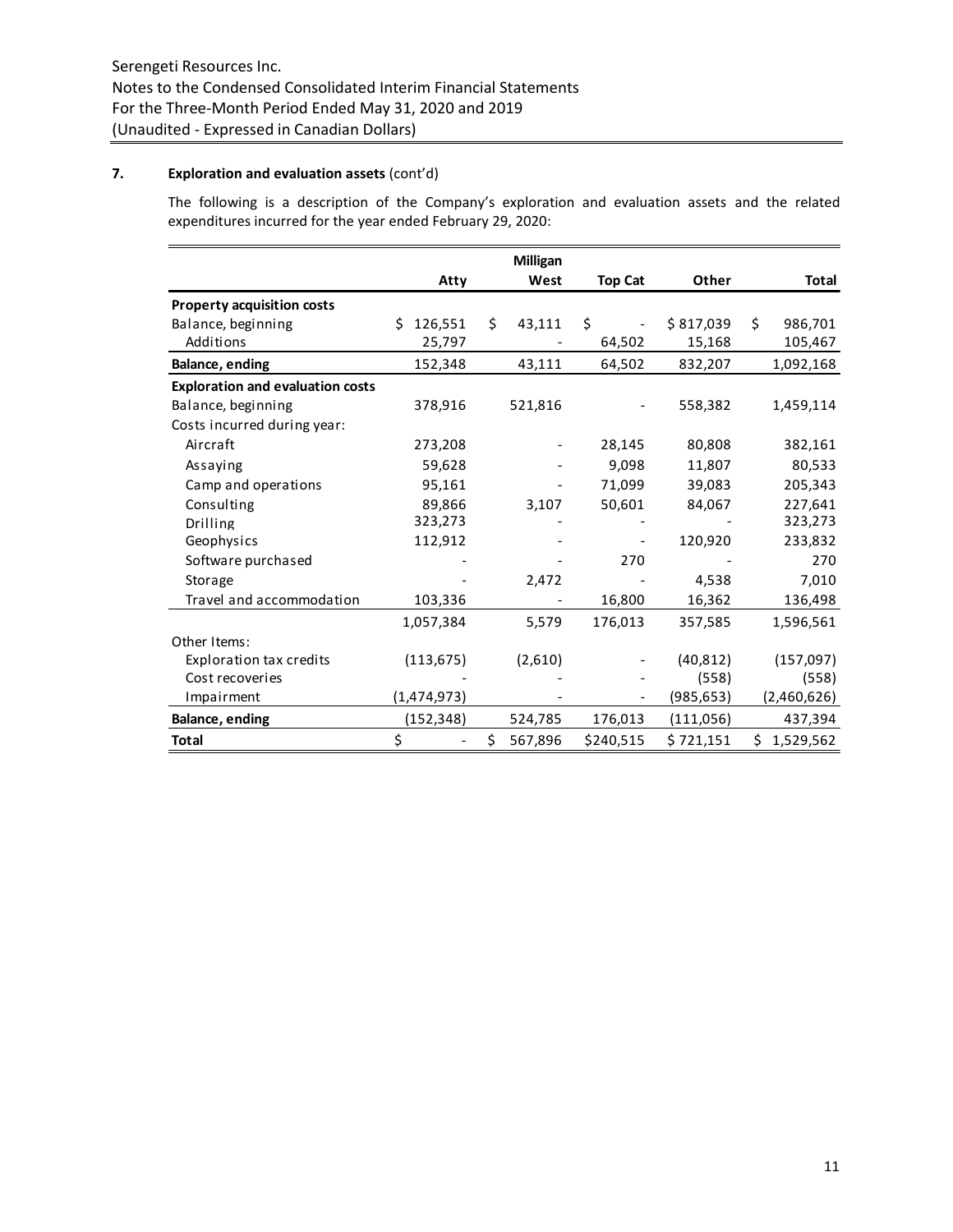# **7. Exploration and evaluation assets** (cont'd)

The following is a description of the Company's exploration and evaluation assets and the related expenditures incurred for the year ended February 29, 2020:

|                                         |               |     | <b>Milligan</b> |                |            |     |             |
|-----------------------------------------|---------------|-----|-----------------|----------------|------------|-----|-------------|
|                                         | Atty          |     | West            | <b>Top Cat</b> | Other      |     | Total       |
| <b>Property acquisition costs</b>       |               |     |                 |                |            |     |             |
| Balance, beginning                      | 126,551<br>Ś. | \$. | 43,111          | \$             | \$817,039  | \$. | 986,701     |
| Additions                               | 25,797        |     |                 | 64,502         | 15,168     |     | 105,467     |
| Balance, ending                         | 152,348       |     | 43,111          | 64,502         | 832,207    |     | 1,092,168   |
| <b>Exploration and evaluation costs</b> |               |     |                 |                |            |     |             |
| Balance, beginning                      | 378,916       |     | 521,816         |                | 558,382    |     | 1,459,114   |
| Costs incurred during year:             |               |     |                 |                |            |     |             |
| Aircraft                                | 273,208       |     |                 | 28,145         | 80,808     |     | 382,161     |
| Assaying                                | 59,628        |     |                 | 9,098          | 11,807     |     | 80,533      |
| Camp and operations                     | 95,161        |     |                 | 71,099         | 39,083     |     | 205,343     |
| Consulting                              | 89,866        |     | 3,107           | 50,601         | 84,067     |     | 227,641     |
| <b>Drilling</b>                         | 323,273       |     |                 |                |            |     | 323,273     |
| Geophysics                              | 112,912       |     |                 |                | 120,920    |     | 233,832     |
| Software purchased                      |               |     |                 | 270            |            |     | 270         |
| Storage                                 |               |     | 2,472           |                | 4,538      |     | 7,010       |
| Travel and accommodation                | 103,336       |     |                 | 16,800         | 16,362     |     | 136,498     |
|                                         | 1,057,384     |     | 5,579           | 176,013        | 357,585    |     | 1,596,561   |
| Other Items:                            |               |     |                 |                |            |     |             |
| <b>Exploration tax credits</b>          | (113, 675)    |     | (2,610)         |                | (40, 812)  |     | (157,097)   |
| Cost recoveries                         |               |     |                 |                | (558)      |     | (558)       |
| Impairment                              | (1,474,973)   |     |                 |                | (985, 653) |     | (2,460,626) |
| <b>Balance, ending</b>                  | (152,348)     |     | 524,785         | 176,013        | (111,056)  |     | 437,394     |
| <b>Total</b>                            | \$            | \$  | 567,896         | \$240,515      | \$721,151  | \$  | 1,529,562   |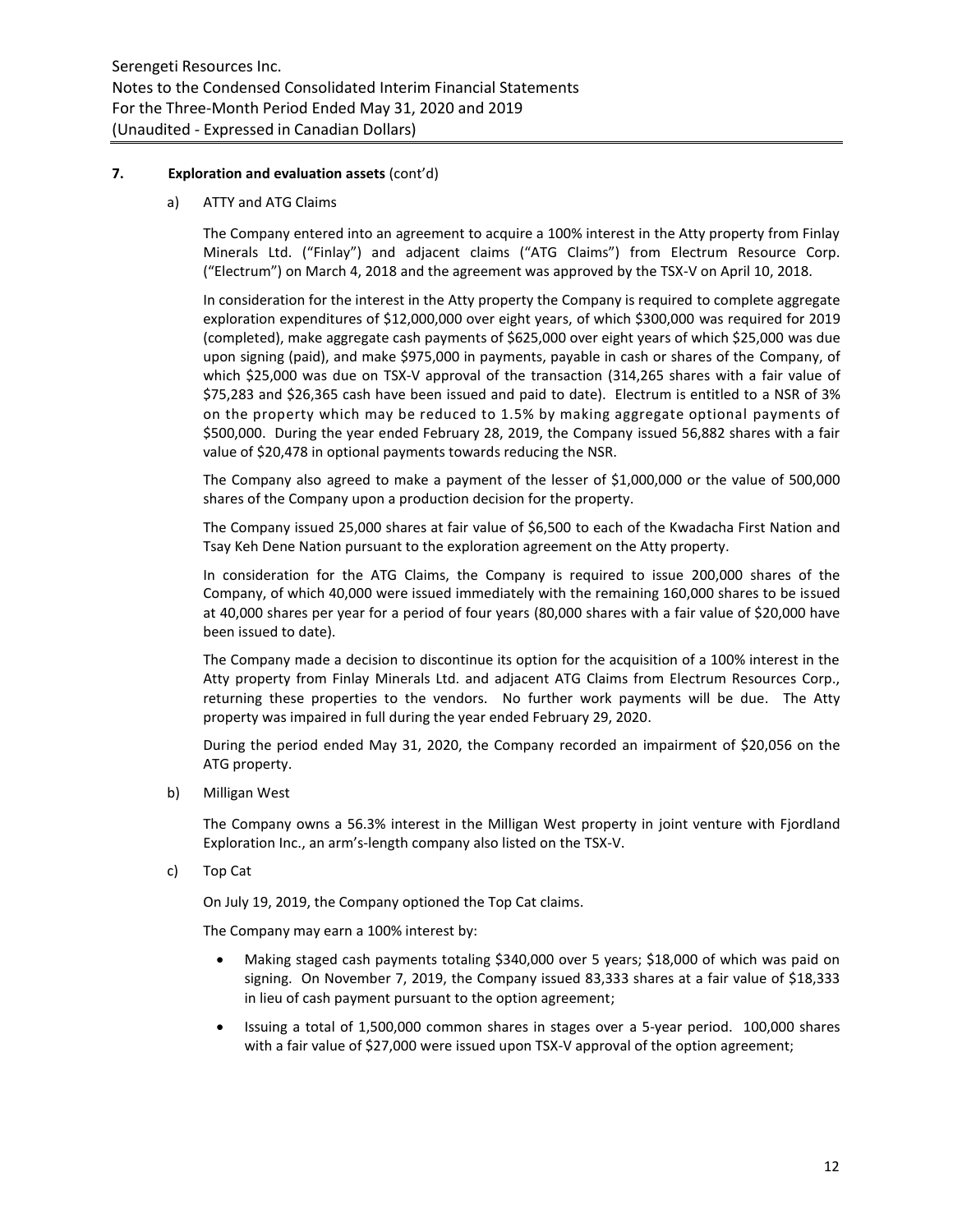### **7. Exploration and evaluation assets** (cont'd)

a) ATTY and ATG Claims

The Company entered into an agreement to acquire a 100% interest in the Atty property from Finlay Minerals Ltd. ("Finlay") and adjacent claims ("ATG Claims") from Electrum Resource Corp. ("Electrum") on March 4, 2018 and the agreement was approved by the TSX-V on April 10, 2018.

In consideration for the interest in the Atty property the Company is required to complete aggregate exploration expenditures of \$12,000,000 over eight years, of which \$300,000 was required for 2019 (completed), make aggregate cash payments of \$625,000 over eight years of which \$25,000 was due upon signing (paid), and make \$975,000 in payments, payable in cash or shares of the Company, of which \$25,000 was due on TSX-V approval of the transaction (314,265 shares with a fair value of \$75,283 and \$26,365 cash have been issued and paid to date). Electrum is entitled to a NSR of 3% on the property which may be reduced to 1.5% by making aggregate optional payments of \$500,000. During the year ended February 28, 2019, the Company issued 56,882 shares with a fair value of \$20,478 in optional payments towards reducing the NSR.

The Company also agreed to make a payment of the lesser of \$1,000,000 or the value of 500,000 shares of the Company upon a production decision for the property.

The Company issued 25,000 shares at fair value of \$6,500 to each of the Kwadacha First Nation and Tsay Keh Dene Nation pursuant to the exploration agreement on the Atty property.

In consideration for the ATG Claims, the Company is required to issue 200,000 shares of the Company, of which 40,000 were issued immediately with the remaining 160,000 shares to be issued at 40,000 shares per year for a period of four years (80,000 shares with a fair value of \$20,000 have been issued to date).

The Company made a decision to discontinue its option for the acquisition of a 100% interest in the Atty property from Finlay Minerals Ltd. and adjacent ATG Claims from Electrum Resources Corp., returning these properties to the vendors. No further work payments will be due. The Atty property was impaired in full during the year ended February 29, 2020.

During the period ended May 31, 2020, the Company recorded an impairment of \$20,056 on the ATG property.

b) Milligan West

The Company owns a 56.3% interest in the Milligan West property in joint venture with Fjordland Exploration Inc., an arm's-length company also listed on the TSX-V.

c) Top Cat

On July 19, 2019, the Company optioned the Top Cat claims.

The Company may earn a 100% interest by:

- Making staged cash payments totaling \$340,000 over 5 years; \$18,000 of which was paid on signing. On November 7, 2019, the Company issued 83,333 shares at a fair value of \$18,333 in lieu of cash payment pursuant to the option agreement;
- Issuing a total of 1,500,000 common shares in stages over a 5-year period. 100,000 shares with a fair value of \$27,000 were issued upon TSX-V approval of the option agreement;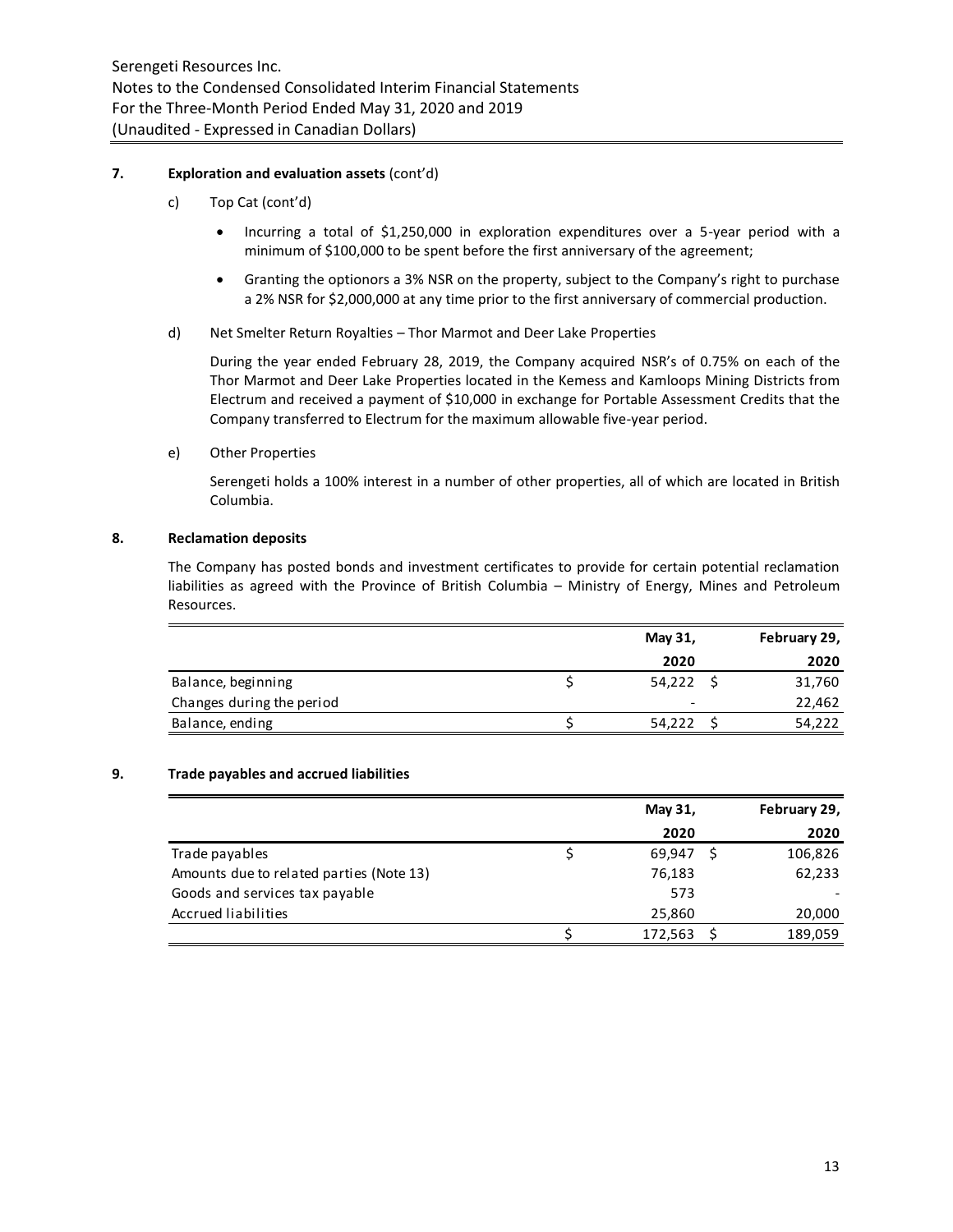### **7. Exploration and evaluation assets** (cont'd)

- c) Top Cat (cont'd)
	- Incurring a total of \$1,250,000 in exploration expenditures over a 5-year period with a minimum of \$100,000 to be spent before the first anniversary of the agreement;
	- Granting the optionors a 3% NSR on the property, subject to the Company's right to purchase a 2% NSR for \$2,000,000 at any time prior to the first anniversary of commercial production.
- d) Net Smelter Return Royalties Thor Marmot and Deer Lake Properties

During the year ended February 28, 2019, the Company acquired NSR's of 0.75% on each of the Thor Marmot and Deer Lake Properties located in the Kemess and Kamloops Mining Districts from Electrum and received a payment of \$10,000 in exchange for Portable Assessment Credits that the Company transferred to Electrum for the maximum allowable five-year period.

e) Other Properties

Serengeti holds a 100% interest in a number of other properties, all of which are located in British Columbia.

### **8. Reclamation deposits**

The Company has posted bonds and investment certificates to provide for certain potential reclamation liabilities as agreed with the Province of British Columbia – Ministry of Energy, Mines and Petroleum Resources.

|                           | May 31, | February 29, |
|---------------------------|---------|--------------|
|                           | 2020    | 2020         |
| Balance, beginning        | 54,222  | 31,760       |
| Changes during the period |         | 22,462       |
| Balance, ending           | 54,222  | 54,222       |
|                           |         |              |

# **9. Trade payables and accrued liabilities**

|                                          | May 31, | February 29, |
|------------------------------------------|---------|--------------|
|                                          | 2020    | 2020         |
| Trade payables                           | 69,947  | 106,826      |
| Amounts due to related parties (Note 13) | 76,183  | 62,233       |
| Goods and services tax payable           | 573     |              |
| Accrued liabilities                      | 25,860  | 20,000       |
|                                          | 172,563 | 189,059      |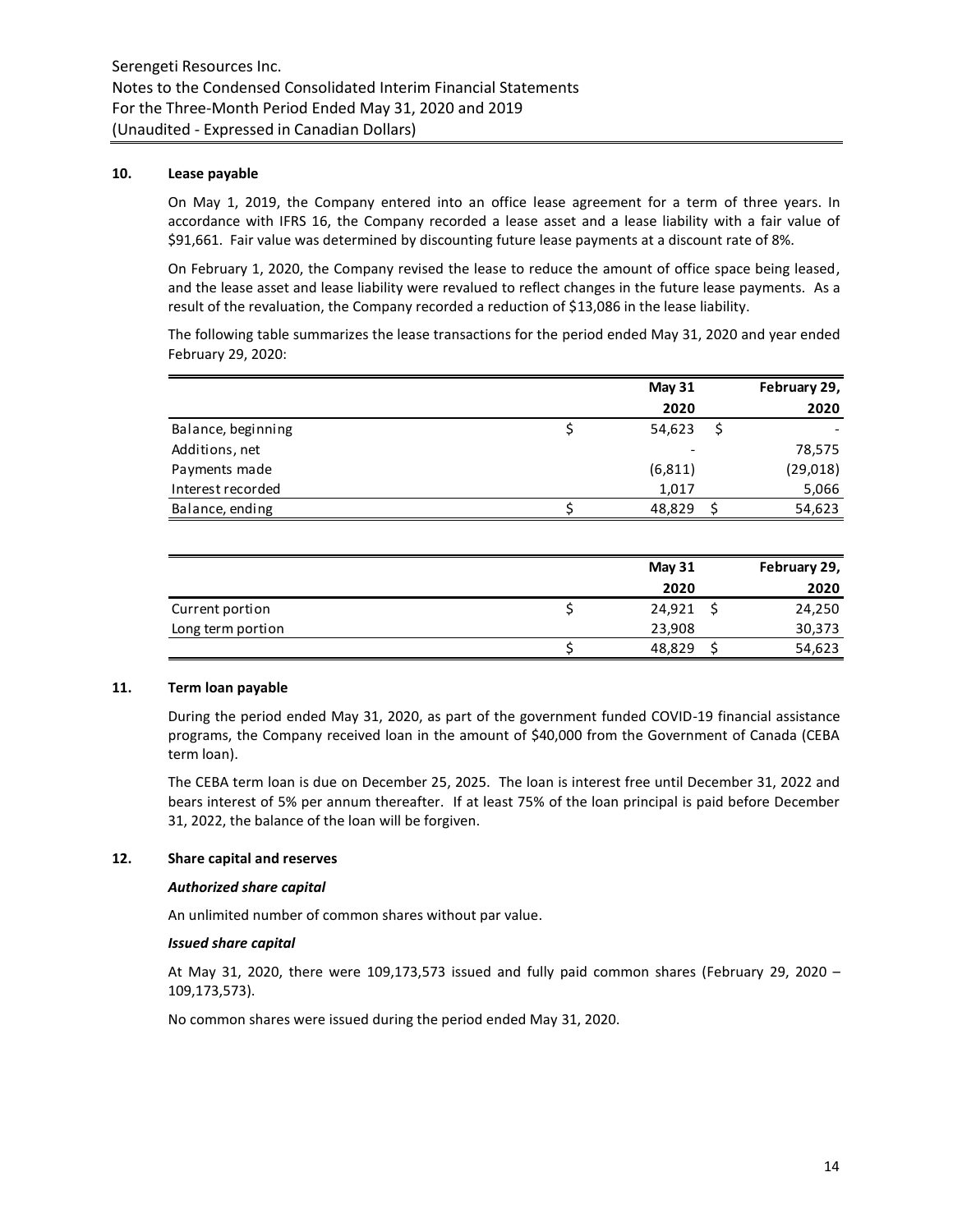### **10. Lease payable**

On May 1, 2019, the Company entered into an office lease agreement for a term of three years. In accordance with IFRS 16, the Company recorded a lease asset and a lease liability with a fair value of \$91,661. Fair value was determined by discounting future lease payments at a discount rate of 8%.

On February 1, 2020, the Company revised the lease to reduce the amount of office space being leased, and the lease asset and lease liability were revalued to reflect changes in the future lease payments. As a result of the revaluation, the Company recorded a reduction of \$13,086 in the lease liability.

The following table summarizes the lease transactions for the period ended May 31, 2020 and year ended February 29, 2020:

|                    | <b>May 31</b> | February 29, |
|--------------------|---------------|--------------|
|                    | 2020          | 2020         |
| Balance, beginning | 54,623        |              |
| Additions, net     |               | 78,575       |
| Payments made      | (6, 811)      | (29, 018)    |
| Interest recorded  | 1,017         | 5,066        |
| Balance, ending    | 48,829        | 54,623       |

|                   | <b>May 31</b> | February 29, |
|-------------------|---------------|--------------|
|                   | 2020          | 2020         |
| Current portion   | 24,921        | 24,250       |
| Long term portion | 23,908        | 30,373       |
|                   | 48,829        | 54,623       |

# **11. Term loan payable**

During the period ended May 31, 2020, as part of the government funded COVID-19 financial assistance programs, the Company received loan in the amount of \$40,000 from the Government of Canada (CEBA term loan).

The CEBA term loan is due on December 25, 2025. The loan is interest free until December 31, 2022 and bears interest of 5% per annum thereafter. If at least 75% of the loan principal is paid before December 31, 2022, the balance of the loan will be forgiven.

# **12. Share capital and reserves**

#### *Authorized share capital*

An unlimited number of common shares without par value.

#### *Issued share capital*

At May 31, 2020, there were 109,173,573 issued and fully paid common shares (February 29, 2020 – 109,173,573).

No common shares were issued during the period ended May 31, 2020.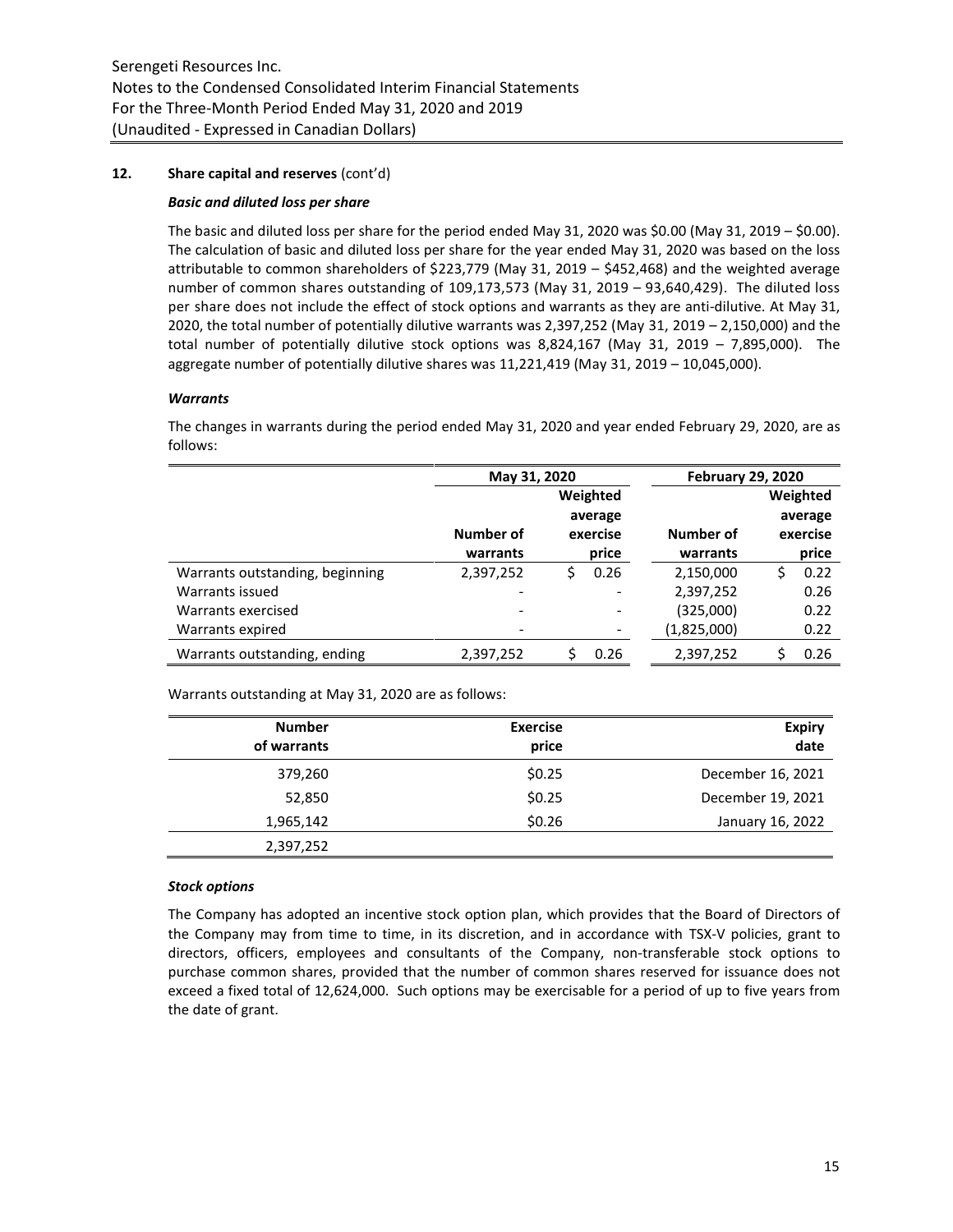# **12. Share capital and reserves** (cont'd)

# *Basic and diluted loss per share*

The basic and diluted loss per share for the period ended May 31, 2020 was \$0.00 (May 31, 2019 – \$0.00). The calculation of basic and diluted loss per share for the year ended May 31, 2020 was based on the loss attributable to common shareholders of \$223,779 (May 31, 2019 – \$452,468) and the weighted average number of common shares outstanding of 109,173,573 (May 31, 2019 – 93,640,429). The diluted loss per share does not include the effect of stock options and warrants as they are anti-dilutive. At May 31, 2020, the total number of potentially dilutive warrants was 2,397,252 (May 31, 2019 – 2,150,000) and the total number of potentially dilutive stock options was 8,824,167 (May 31, 2019 – 7,895,000). The aggregate number of potentially dilutive shares was 11,221,419 (May 31, 2019 – 10,045,000).

# *Warrants*

The changes in warrants during the period ended May 31, 2020 and year ended February 29, 2020, are as follows:

|                                 | May 31, 2020          |  |                   | <b>February 29, 2020</b> |    |          |
|---------------------------------|-----------------------|--|-------------------|--------------------------|----|----------|
|                                 |                       |  | Weighted          |                          |    | Weighted |
|                                 |                       |  | average           |                          |    | average  |
|                                 | Number of<br>warrants |  | exercise<br>price | Number of<br>warrants    |    | exercise |
|                                 |                       |  |                   |                          |    | price    |
| Warrants outstanding, beginning | 2,397,252             |  | 0.26              | 2,150,000                | Ś. | 0.22     |
| Warrants issued                 |                       |  |                   | 2,397,252                |    | 0.26     |
| Warrants exercised              |                       |  |                   | (325,000)                |    | 0.22     |
| Warrants expired                |                       |  |                   | (1,825,000)              |    | 0.22     |
| Warrants outstanding, ending    | 2,397,252             |  | 0.26              | 2,397,252                |    | 0.26     |

Warrants outstanding at May 31, 2020 are as follows:

| <b>Number</b><br>of warrants | <b>Exercise</b><br>price | <b>Expiry</b><br>date |
|------------------------------|--------------------------|-----------------------|
| 379,260                      | \$0.25                   | December 16, 2021     |
| 52,850                       | \$0.25                   | December 19, 2021     |
| 1,965,142                    | \$0.26                   | January 16, 2022      |
| 2,397,252                    |                          |                       |

# *Stock options*

The Company has adopted an incentive stock option plan, which provides that the Board of Directors of the Company may from time to time, in its discretion, and in accordance with TSX-V policies, grant to directors, officers, employees and consultants of the Company, non-transferable stock options to purchase common shares, provided that the number of common shares reserved for issuance does not exceed a fixed total of 12,624,000. Such options may be exercisable for a period of up to five years from the date of grant.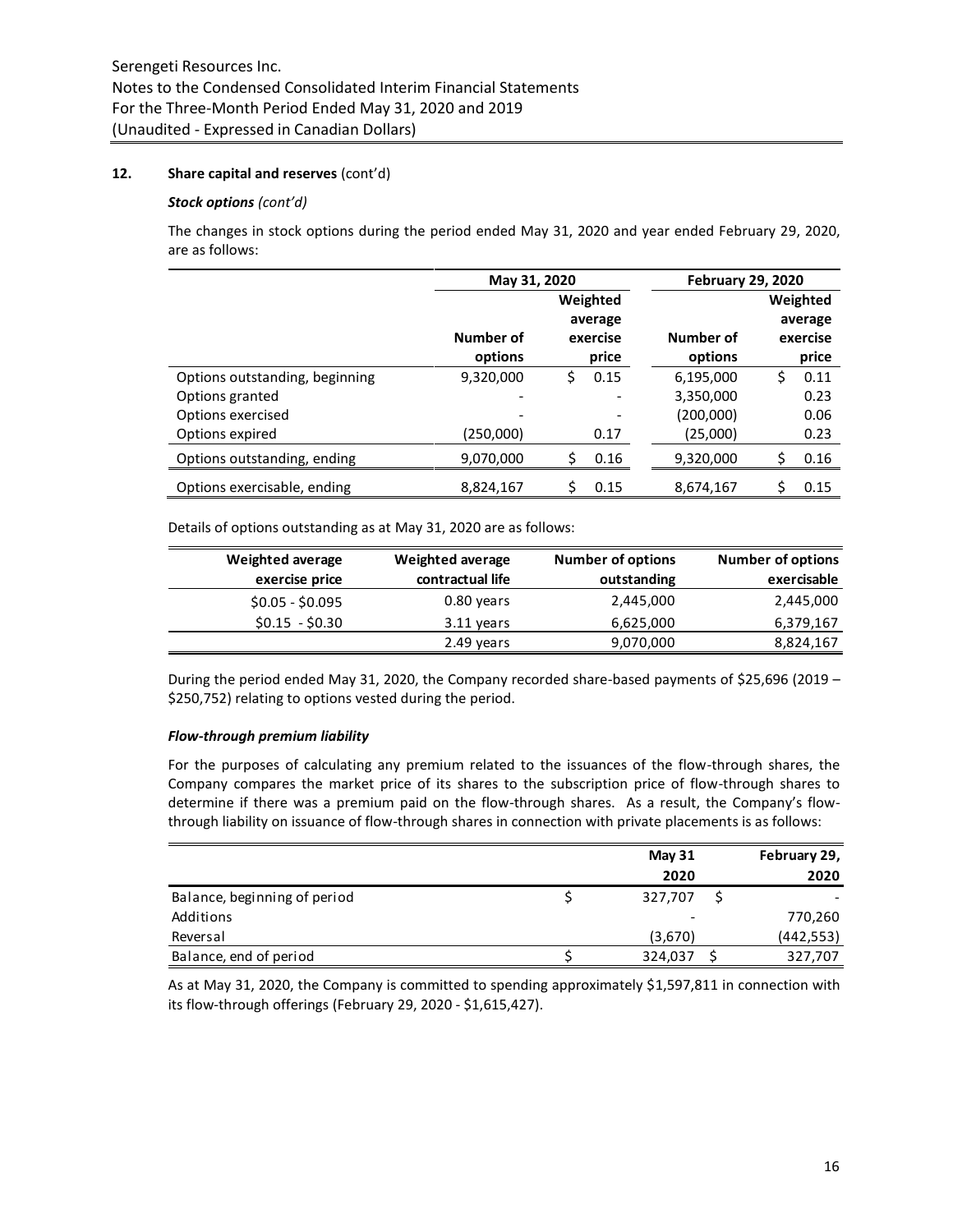### **12. Share capital and reserves** (cont'd)

#### *Stock options (cont'd)*

The changes in stock options during the period ended May 31, 2020 and year ended February 29, 2020, are as follows:

|                                | May 31, 2020 |    |          | <b>February 29, 2020</b> |    |          |
|--------------------------------|--------------|----|----------|--------------------------|----|----------|
|                                |              |    | Weighted |                          |    | Weighted |
|                                |              |    | average  |                          |    | average  |
|                                | Number of    |    | exercise | Number of                |    | exercise |
|                                | options      |    | price    | options                  |    | price    |
| Options outstanding, beginning | 9,320,000    | \$ | 0.15     | 6,195,000                | \$ | 0.11     |
| Options granted                | -            |    |          | 3,350,000                |    | 0.23     |
| Options exercised              |              |    |          | (200,000)                |    | 0.06     |
| Options expired                | (250,000)    |    | 0.17     | (25,000)                 |    | 0.23     |
| Options outstanding, ending    | 9,070,000    | Ś  | 0.16     | 9,320,000                | Ś. | 0.16     |
| Options exercisable, ending    | 8,824,167    |    | 0.15     | 8,674,167                | Ś  | 0.15     |

Details of options outstanding as at May 31, 2020 are as follows:

| Weighted average | Weighted average | <b>Number of options</b> | <b>Number of options</b> |
|------------------|------------------|--------------------------|--------------------------|
| exercise price   | contractual life | outstanding              | exercisable              |
| $$0.05 - $0.095$ | 0.80 years       | 2,445,000                | 2,445,000                |
| $$0.15 - $0.30$  | 3.11 years       | 6,625,000                | 6,379,167                |
|                  | 2.49 years       | 9,070,000                | 8,824,167                |

During the period ended May 31, 2020, the Company recorded share-based payments of \$25,696 (2019 – \$250,752) relating to options vested during the period.

#### *Flow-through premium liability*

For the purposes of calculating any premium related to the issuances of the flow-through shares, the Company compares the market price of its shares to the subscription price of flow-through shares to determine if there was a premium paid on the flow-through shares. As a result, the Company's flowthrough liability on issuance of flow-through shares in connection with private placements is as follows:

|                              | <b>May 31</b> | February 29, |
|------------------------------|---------------|--------------|
|                              | 2020          | 2020         |
| Balance, beginning of period | 327,707       |              |
| Additions                    |               | 770,260      |
| Reversal                     | (3,670)       | (442, 553)   |
| Balance, end of period       | 324,037       | 327,707      |

As at May 31, 2020, the Company is committed to spending approximately \$1,597,811 in connection with its flow-through offerings (February 29, 2020 - \$1,615,427).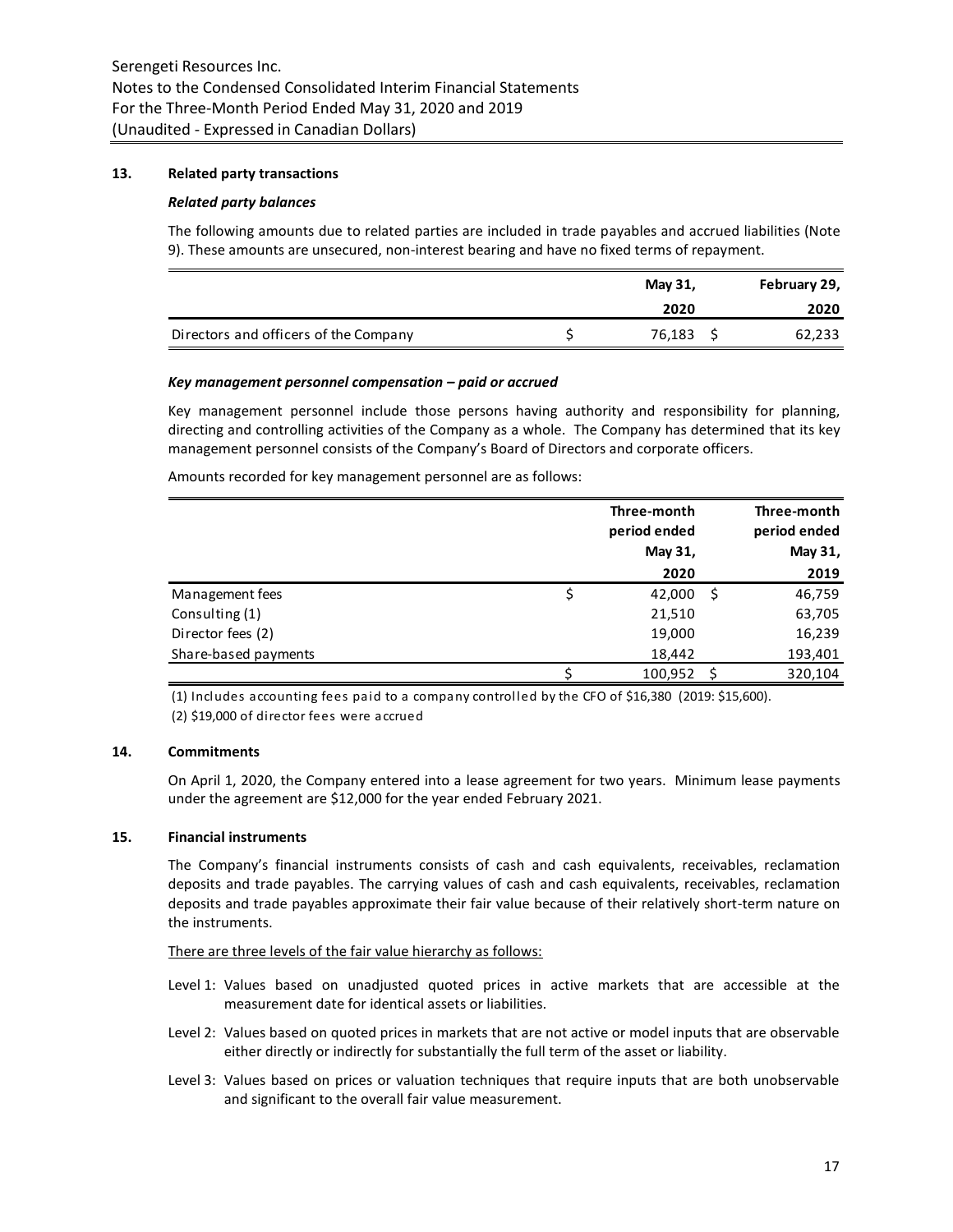### **13. Related party transactions**

#### *Related party balances*

The following amounts due to related parties are included in trade payables and accrued liabilities (Note 9). These amounts are unsecured, non-interest bearing and have no fixed terms of repayment.

|                                       | May 31, | February 29, |
|---------------------------------------|---------|--------------|
|                                       | 2020    | 2020         |
| Directors and officers of the Company | 76,183  | 62,233       |

#### *Key management personnel compensation – paid or accrued*

Key management personnel include those persons having authority and responsibility for planning, directing and controlling activities of the Company as a whole. The Company has determined that its key management personnel consists of the Company's Board of Directors and corporate officers.

Amounts recorded for key management personnel are as follows:

|                      | Three-month<br>period ended<br>May 31, |     | Three-month<br>period ended<br>May 31, |
|----------------------|----------------------------------------|-----|----------------------------------------|
|                      | 2020                                   |     | 2019                                   |
| Management fees      | 42,000                                 | .\$ | 46,759                                 |
| Consulting (1)       | 21,510                                 |     | 63,705                                 |
| Director fees (2)    | 19,000                                 |     | 16,239                                 |
| Share-based payments | 18,442                                 |     | 193,401                                |
|                      | 100,952                                |     | 320,104                                |

(1) Includes accounting fees paid to a company controlled by the CFO of \$16,380 (2019: \$15,600). (2) \$19,000 of director fees were accrued

### **14. Commitments**

On April 1, 2020, the Company entered into a lease agreement for two years. Minimum lease payments under the agreement are \$12,000 for the year ended February 2021.

# **15. Financial instruments**

The Company's financial instruments consists of cash and cash equivalents, receivables, reclamation deposits and trade payables. The carrying values of cash and cash equivalents, receivables, reclamation deposits and trade payables approximate their fair value because of their relatively short-term nature on the instruments.

There are three levels of the fair value hierarchy as follows:

- Level 1: Values based on unadjusted quoted prices in active markets that are accessible at the measurement date for identical assets or liabilities.
- Level 2: Values based on quoted prices in markets that are not active or model inputs that are observable either directly or indirectly for substantially the full term of the asset or liability.
- Level 3: Values based on prices or valuation techniques that require inputs that are both unobservable and significant to the overall fair value measurement.